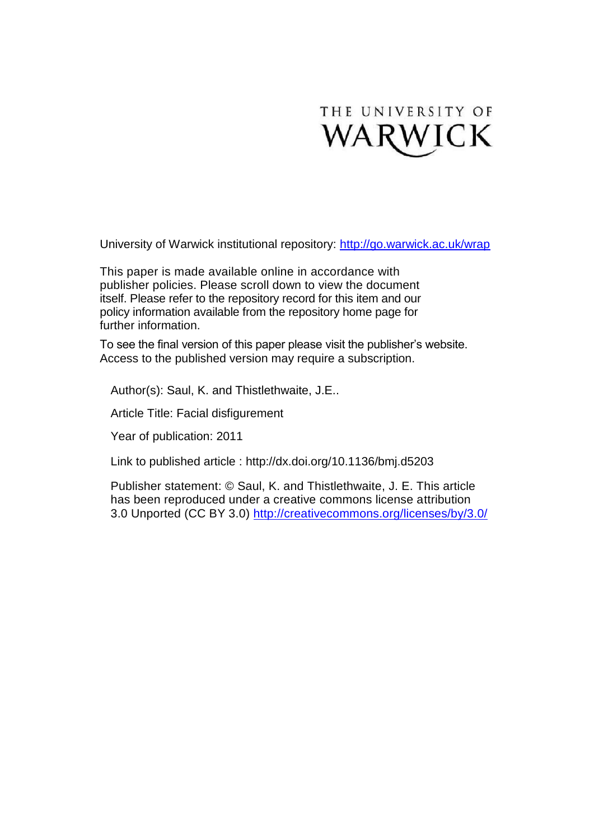# THE UNIVERSITY OF WARWICK

University of Warwick institutional repository:<http://go.warwick.ac.uk/wrap>

This paper is made available online in accordance with publisher policies. Please scroll down to view the document itself. Please refer to the repository record for this item and our policy information available from the repository home page for further information.

To see the final version of this paper please visit the publisher's website. Access to the published version may require a subscription.

Author(s): Saul, K. and Thistlethwaite, J.E..

Article Title: Facial disfigurement

Year of publication: 2011

Link to published article : http://dx.doi.org/10.1136/bmj.d5203

Publisher statement: © Saul, K. and Thistlethwaite, J. E. This article has been reproduced under a creative commons license attribution 3.0 Unported (CC BY 3.0) <http://creativecommons.org/licenses/by/3.0/>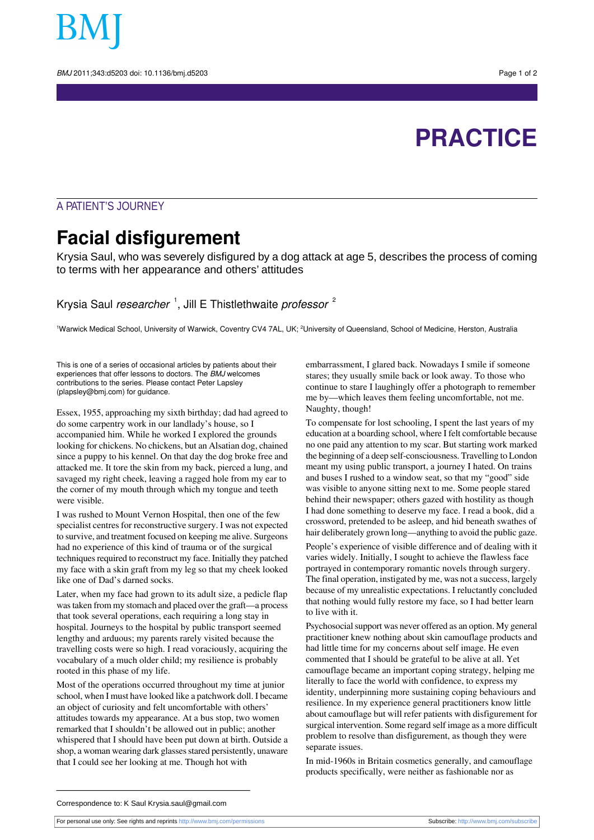BMJ 2011;343:d5203 doi: 10.1136/bmj.d5203 Page 1 of 2

# **PRACTICE**

## A PATIENT'S JOURNEY

## **Facial disfigurement**

Krysia Saul, who was severely disfigured by a dog attack at age 5, describes the process of coming to terms with her appearance and others' attitudes

## Krysia Saul *researcher* <sup>1</sup>, Jill E Thistlethwaite *professor <sup>2</sup>*

<sup>1</sup>Warwick Medical School, University of Warwick, Coventry CV4 7AL, UK; <sup>2</sup>University of Queensland, School of Medicine, Herston, Australia

This is one of a series of occasional articles by patients about their experiences that offer lessons to doctors. The BMJ welcomes contributions to the series. Please contact Peter Lapsley (plapsley@bmj.com) for guidance.

Essex, 1955, approaching my sixth birthday; dad had agreed to do some carpentry work in our landlady's house, so I accompanied him. While he worked I explored the grounds looking for chickens. No chickens, but an Alsatian dog, chained since a puppy to his kennel. On that day the dog broke free and attacked me. It tore the skin from my back, pierced a lung, and savaged my right cheek, leaving a ragged hole from my ear to the corner of my mouth through which my tongue and teeth were visible.

I was rushed to Mount Vernon Hospital, then one of the few specialist centres for reconstructive surgery. I was not expected to survive, and treatment focused on keeping me alive. Surgeons had no experience of this kind of trauma or of the surgical techniques required to reconstruct my face. Initially they patched my face with a skin graft from my leg so that my cheek looked like one of Dad's darned socks.

Later, when my face had grown to its adult size, a pedicle flap wastaken from my stomach and placed over the graft—a process that took several operations, each requiring a long stay in hospital. Journeys to the hospital by public transport seemed lengthy and arduous; my parents rarely visited because the travelling costs were so high. I read voraciously, acquiring the vocabulary of a much older child; my resilience is probably rooted in this phase of my life.

Most of the operations occurred throughout my time at junior school, when I must have looked like a patchwork doll. I became an object of curiosity and felt uncomfortable with others' attitudes towards my appearance. At a bus stop, two women remarked that I shouldn't be allowed out in public; another whispered that I should have been put down at birth. Outside a shop, a woman wearing dark glasses stared persistently, unaware that I could see her looking at me. Though hot with

embarrassment, I glared back. Nowadays I smile if someone stares; they usually smile back or look away. To those who continue to stare I laughingly offer a photograph to remember me by—which leaves them feeling uncomfortable, not me. Naughty, though!

To compensate for lost schooling, I spent the last years of my education at a boarding school, where I felt comfortable because no one paid any attention to my scar. But starting work marked the beginning of a deep self-consciousness. Travelling to London meant my using public transport, a journey I hated. On trains and buses I rushed to a window seat, so that my "good" side was visible to anyone sitting next to me. Some people stared behind their newspaper; others gazed with hostility as though I had done something to deserve my face. I read a book, did a crossword, pretended to be asleep, and hid beneath swathes of hair deliberately grown long—anything to avoid the public gaze.

People's experience of visible difference and of dealing with it varies widely. Initially, I sought to achieve the flawless face portrayed in contemporary romantic novels through surgery. The final operation, instigated by me, was not a success, largely because of my unrealistic expectations. I reluctantly concluded that nothing would fully restore my face, so I had better learn to live with it.

Psychosocial support was never offered as an option. My general practitioner knew nothing about skin camouflage products and had little time for my concerns about self image. He even commented that I should be grateful to be alive at all. Yet camouflage became an important coping strategy, helping me literally to face the world with confidence, to express my identity, underpinning more sustaining coping behaviours and resilience. In my experience general practitioners know little about camouflage but will refer patients with disfigurement for surgical intervention. Some regard self image as a more difficult problem to resolve than disfigurement, as though they were separate issues.

In mid-1960s in Britain cosmetics generally, and camouflage products specifically, were neither as fashionable nor as

Correspondence to: K Saul Krysia.saul@gmail.com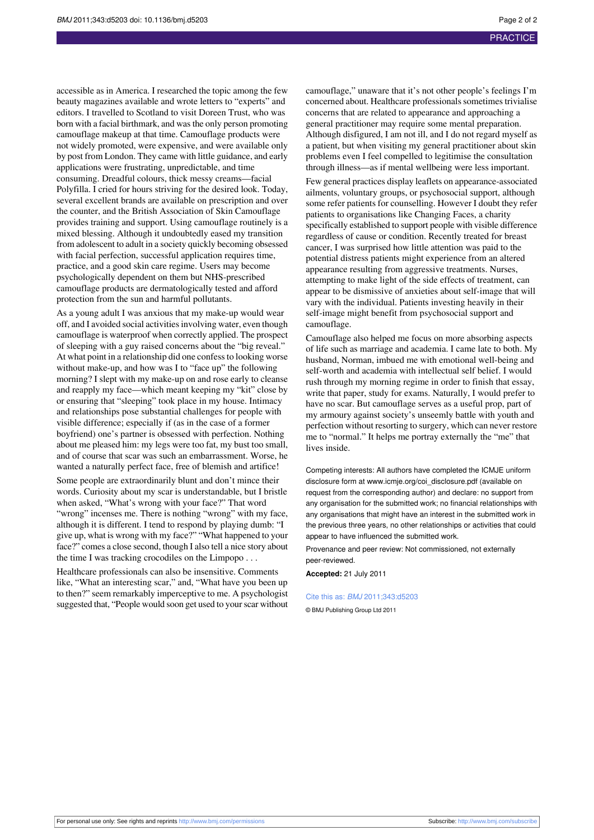accessible as in America. I researched the topic among the few beauty magazines available and wrote letters to "experts" and editors. I travelled to Scotland to visit Doreen Trust, who was born with a facial birthmark, and was the only person promoting camouflage makeup at that time. Camouflage products were not widely promoted, were expensive, and were available only by post from London. They came with little guidance, and early applications were frustrating, unpredictable, and time consuming. Dreadful colours, thick messy creams—facial Polyfilla. I cried for hours striving for the desired look. Today, several excellent brands are available on prescription and over the counter, and the British Association of Skin Camouflage provides training and support. Using camouflage routinely is a mixed blessing. Although it undoubtedly eased my transition from adolescent to adult in a society quickly becoming obsessed with facial perfection, successful application requires time, practice, and a good skin care regime. Users may become psychologically dependent on them but NHS-prescribed camouflage products are dermatologically tested and afford protection from the sun and harmful pollutants.

As a young adult I was anxious that my make-up would wear off, and I avoided social activitiesinvolving water, even though camouflage is waterproof when correctly applied. The prospect of sleeping with a guy raised concerns about the "big reveal." At what point in a relationship did one confessto looking worse without make-up, and how was I to "face up" the following morning? I slept with my make-up on and rose early to cleanse and reapply my face—which meant keeping my "kit" close by or ensuring that "sleeping" took place in my house. Intimacy and relationships pose substantial challenges for people with visible difference; especially if (as in the case of a former boyfriend) one's partner is obsessed with perfection. Nothing about me pleased him: my legs were too fat, my bust too small, and of course that scar was such an embarrassment. Worse, he wanted a naturally perfect face, free of blemish and artifice!

Some people are extraordinarily blunt and don't mince their words. Curiosity about my scar is understandable, but I bristle when asked, "What's wrong with your face?" That word "wrong" incenses me. There is nothing "wrong" with my face, although it is different. I tend to respond by playing dumb: "I give up, what is wrong with my face?" "What happened to your face?" comes a close second, though I also tell a nice story about the time I was tracking crocodiles on the Limpopo . . .

Healthcare professionals can also be insensitive. Comments like, "What an interesting scar," and, "What have you been up to then?" seem remarkably imperceptive to me. A psychologist suggested that, "People would soon get used to yourscar without camouflage," unaware that it's not other people's feelings I'm concerned about. Healthcare professionals sometimes trivialise concerns that are related to appearance and approaching a general practitioner may require some mental preparation. Although disfigured, I am not ill, and I do not regard myself as a patient, but when visiting my general practitioner about skin problems even I feel compelled to legitimise the consultation through illness—as if mental wellbeing were less important.

Few general practices display leaflets on appearance-associated ailments, voluntary groups, or psychosocial support, although some refer patients for counselling. However I doubt they refer patients to organisations like Changing Faces, a charity specifically established to support people with visible difference regardless of cause or condition. Recently treated for breast cancer, I was surprised how little attention was paid to the potential distress patients might experience from an altered appearance resulting from aggressive treatments. Nurses, attempting to make light of the side effects of treatment, can appear to be dismissive of anxieties about self-image that will vary with the individual. Patients investing heavily in their self-image might benefit from psychosocial support and camouflage.

Camouflage also helped me focus on more absorbing aspects of life such as marriage and academia. I came late to both. My husband, Norman, imbued me with emotional well-being and self-worth and academia with intellectual self belief. I would rush through my morning regime in order to finish that essay, write that paper, study for exams. Naturally, I would prefer to have no scar. But camouflage serves as a useful prop, part of my armoury against society's unseemly battle with youth and perfection without resorting to surgery, which can never restore me to "normal." It helps me portray externally the "me" that lives inside.

Competing interests: All authors have completed the ICMJE uniform disclosure form at [www.icmje.org/coi\\_disclosure.pdf](http://www.icmje.org/coi_disclosure.pdf) (available on request from the corresponding author) and declare: no support from any organisation for the submitted work; no financial relationships with any organisations that might have an interest in the submitted work in the previous three years, no other relationships or activities that could appear to have influenced the submitted work.

Provenance and peer review: Not commissioned, not externally peer-reviewed.

**Accepted:** 21 July 2011

Cite this as: BMJ 2011;343:d5203 © BMJ Publishing Group Ltd 2011